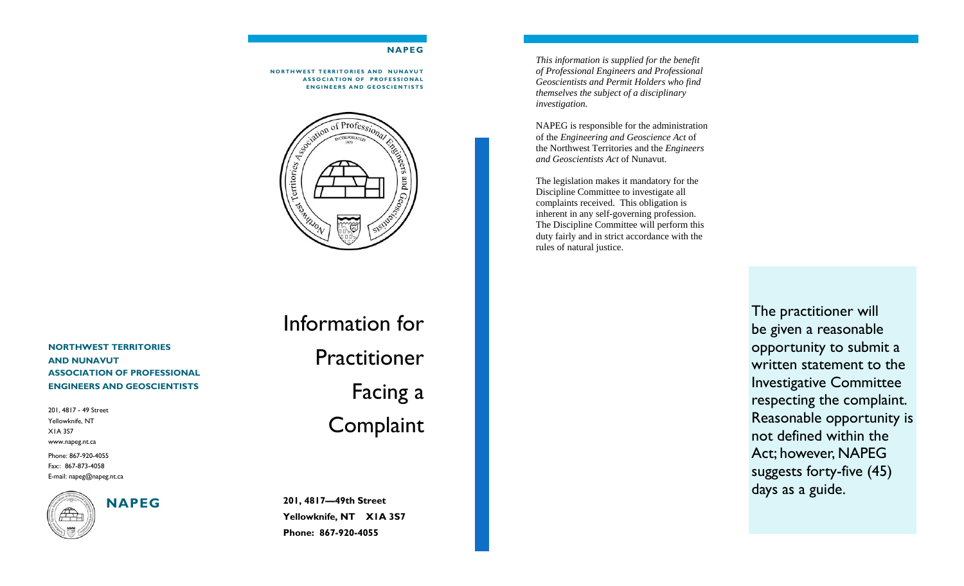#### **NAPEG**

**NORTHWEST TERRITORIES AND NUNAVUT ASSOCIATION OF PROFESSIONAL ENGINEERS AND GEOSCIENTISTS** 



**NORTHWEST TERRITORIES AND NUNAVUT ASSOCIATION OF PROFESSIONAL ENGINEERS AND GEOSCIENTISTS** 

Phone: 867-920-4055 Fax:: 867-873-4058 E-mail: napeg@napeg.nt.ca 201, 4817 - 49 Street Yellowknife, NT X1A 3S7 www.napeg.nt.ca



Information for **Practitioner** Facing a **Complaint** 

**201, 4817—49th Street Yellowknife, NT X1A 3S7 Phone: 867-920-4055** 

*This information is supplied for the benefit of Professional Engineers and Professional Geoscientists and Permit Holders who find themselves the subject of a disciplinary investigation.* 

NAPEG is responsible for the administration of the *Engineering and Geoscience Act* of the Northwest Territories and the *Engineers and Geoscientists Act* of Nunavut.

The legislation makes it mandatory for the Discipline Committee to investigate all complaints received. This obligation is inherent in any self-governing profession. The Discipline Committee will perform this duty fairly and in strict accordance with the rules of natural justice.

> The practitioner will be given a reasonable opportunity to submit a written statement to the Investigative Committee respecting the complaint. Reasonable opportunity is not defined within the Act; however, NAPEG suggests forty-five (45) days as a guide.